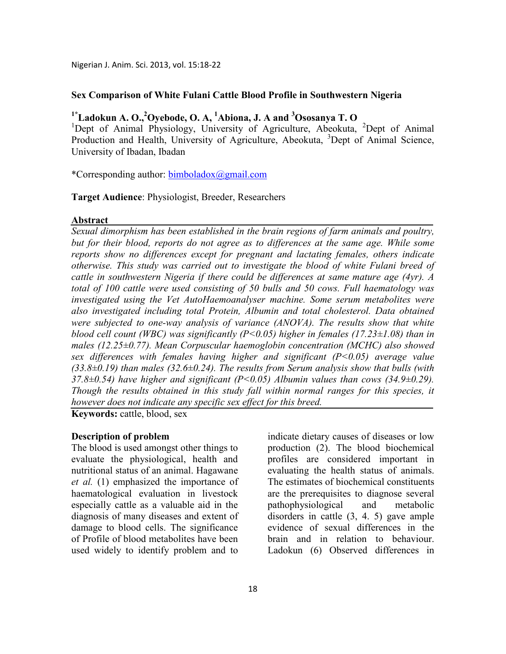Nigerian J. Anim. Sci. 2013, vol. 15:18-22

### **Sex Comparison of White Fulani Cattle Blood Profile in Southwestern Nigeria**

# **1\*Ladokun A. O.,<sup>2</sup>Oyebode, O. A, <sup>1</sup>Abiona, J. A and <sup>3</sup>Ososanya T. O**

<sup>1</sup>Dept of Animal Physiology, University of Agriculture, Abeokuta, <sup>2</sup>Dept of Animal Production and Health, University of Agriculture, Abeokuta, <sup>3</sup>Dept of Animal Science, University of Ibadan, Ibadan

\*Corresponding author: bimboladox@gmail.com

**Target Audience**: Physiologist, Breeder, Researchers

#### **Abstract**

*Sexual dimorphism has been established in the brain regions of farm animals and poultry, but for their blood, reports do not agree as to differences at the same age. While some reports show no differences except for pregnant and lactating females, others indicate otherwise. This study was carried out to investigate the blood of white Fulani breed of cattle in southwestern Nigeria if there could be differences at same mature age (4yr). A total of 100 cattle were used consisting of 50 bulls and 50 cows. Full haematology was investigated using the Vet AutoHaemoanalyser machine. Some serum metabolites were also investigated including total Protein, Albumin and total cholesterol. Data obtained were subjected to one-way analysis of variance (ANOVA). The results show that white blood cell count (WBC) was significantly (P<0.05) higher in females (17.23±1.08) than in males (12.25±0.77). Mean Corpuscular haemoglobin concentration (MCHC) also showed sex differences with females having higher and significant (P<0.05) average value (33.8±0.19) than males (32.6±0.24). The results from Serum analysis show that bulls (with 37.8±0.54) have higher and significant (P<0.05) Albumin values than cows (34.9±0.29). Though the results obtained in this study fall within normal ranges for this species, it however does not indicate any specific sex effect for this breed.* 

**Keywords:** cattle, blood, sex

#### **Description of problem**

The blood is used amongst other things to evaluate the physiological, health and nutritional status of an animal. Hagawane *et al.* (1) emphasized the importance of haematological evaluation in livestock especially cattle as a valuable aid in the diagnosis of many diseases and extent of damage to blood cells. The significance of Profile of blood metabolites have been used widely to identify problem and to

indicate dietary causes of diseases or low production (2). The blood biochemical profiles are considered important in evaluating the health status of animals. The estimates of biochemical constituents are the prerequisites to diagnose several pathophysiological and metabolic disorders in cattle (3, 4. 5) gave ample evidence of sexual differences in the brain and in relation to behaviour. Ladokun (6) Observed differences in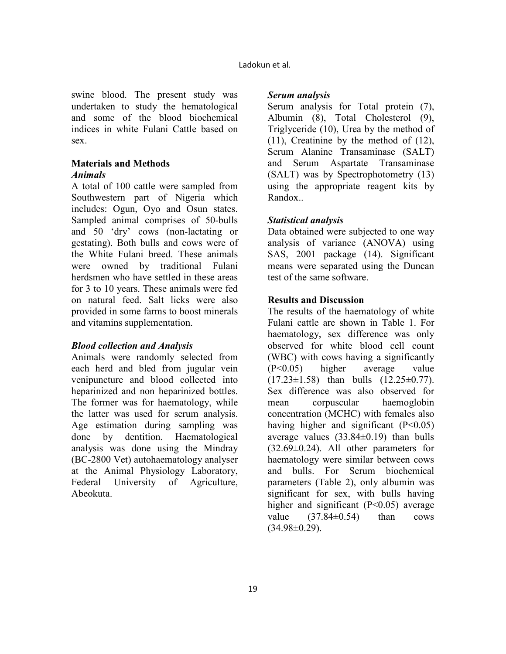swine blood. The present study was undertaken to study the hematological and some of the blood biochemical indices in white Fulani Cattle based on sex.

#### **Materials and Methods**  *Animals*

A total of 100 cattle were sampled from Southwestern part of Nigeria which includes: Ogun, Oyo and Osun states. Sampled animal comprises of 50-bulls and 50 'dry' cows (non-lactating or gestating). Both bulls and cows were of the White Fulani breed. These animals were owned by traditional Fulani herdsmen who have settled in these areas for 3 to 10 years. These animals were fed on natural feed. Salt licks were also provided in some farms to boost minerals and vitamins supplementation.

# *Blood collection and Analysis*

Animals were randomly selected from each herd and bled from jugular vein venipuncture and blood collected into heparinized and non heparinized bottles. The former was for haematology, while the latter was used for serum analysis. Age estimation during sampling was done by dentition. Haematological analysis was done using the Mindray (BC-2800 Vet) autohaematology analyser at the Animal Physiology Laboratory, Federal University of Agriculture, Abeokuta.

### *Serum analysis*

Serum analysis for Total protein (7), Albumin (8), Total Cholesterol (9), Triglyceride (10), Urea by the method of (11), Creatinine by the method of (12), Serum Alanine Transaminase (SALT) and Serum Aspartate Transaminase (SALT) was by Spectrophotometry (13) using the appropriate reagent kits by Randox..

# *Statistical analysis*

Data obtained were subjected to one way analysis of variance (ANOVA) using SAS, 2001 package (14). Significant means were separated using the Duncan test of the same software.

# **Results and Discussion**

The results of the haematology of white Fulani cattle are shown in Table 1. For haematology, sex difference was only observed for white blood cell count (WBC) with cows having a significantly (P<0.05) higher average value  $(17.23 \pm 1.58)$  than bulls  $(12.25 \pm 0.77)$ . Sex difference was also observed for mean corpuscular haemoglobin concentration (MCHC) with females also having higher and significant  $(P<0.05)$ average values  $(33.84\pm0.19)$  than bulls  $(32.69 \pm 0.24)$ . All other parameters for haematology were similar between cows and bulls. For Serum biochemical parameters (Table 2), only albumin was significant for sex, with bulls having higher and significant  $(P<0.05)$  average value  $(37.84\pm0.54)$  than cows  $(34.98\pm0.29)$ .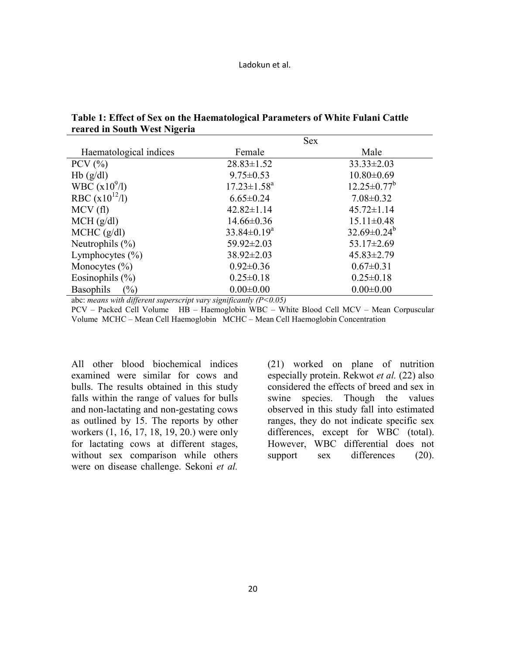| Table 1: Effect of Sex on the Haematological Parameters of White Fulani Cattle |  |
|--------------------------------------------------------------------------------|--|
| reared in South West Nigeria                                                   |  |

|                         | <b>Sex</b>         |                    |
|-------------------------|--------------------|--------------------|
| Haematological indices  | Female             | Male               |
| $PCV$ $(\%)$            | $28.83 \pm 1.52$   | $33.33 \pm 2.03$   |
| Hb(g/dl)                | $9.75 \pm 0.53$    | $10.80 \pm 0.69$   |
| WBC $(x10^{9}/1)$       | $17.23 \pm 1.58^a$ | $12.25 \pm 0.77^b$ |
| RBC $(x10^{12}/1)$      | $6.65 \pm 0.24$    | $7.08 \pm 0.32$    |
| MCV(f)                  | $42.82 \pm 1.14$   | $45.72 \pm 1.14$   |
| MCH (g/dl)              | $14.66 \pm 0.36$   | $15.11 \pm 0.48$   |
| MCHC (g/dl)             | $33.84 \pm 0.19^a$ | $32.69 \pm 0.24^b$ |
| Neutrophils $(\% )$     | $59.92 \pm 2.03$   | $53.17 \pm 2.69$   |
| Lymphocytes $(\% )$     | $38.92 \pm 2.03$   | $45.83 \pm 2.79$   |
| Monocytes $(\% )$       | $0.92 \pm 0.36$    | $0.67 \pm 0.31$    |
| Eosinophils $(\% )$     | $0.25 \pm 0.18$    | $0.25 \pm 0.18$    |
| (%)<br><b>Basophils</b> | $0.00 \pm 0.00$    | $0.00 \pm 0.00$    |

abc: *means with different superscript vary significantly (P<0.05)* 

PCV – Packed Cell Volume HB – Haemoglobin WBC – White Blood Cell MCV – Mean Corpuscular Volume MCHC – Mean Cell Haemoglobin MCHC – Mean Cell Haemoglobin Concentration

All other blood biochemical indices examined were similar for cows and bulls. The results obtained in this study falls within the range of values for bulls and non-lactating and non-gestating cows as outlined by 15. The reports by other workers (1, 16, 17, 18, 19, 20.) were only for lactating cows at different stages, without sex comparison while others were on disease challenge. Sekoni *et al.*

(21) worked on plane of nutrition especially protein. Rekwot *et al.* (22) also considered the effects of breed and sex in swine species. Though the values observed in this study fall into estimated ranges, they do not indicate specific sex differences, except for WBC (total). However, WBC differential does not support sex differences (20).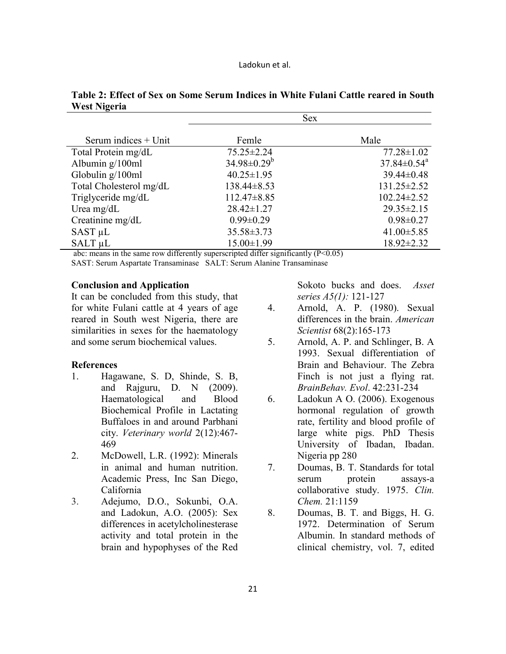|                         |                    | <b>Sex</b>                    |  |
|-------------------------|--------------------|-------------------------------|--|
| Serum indices $+$ Unit  | Femle              | Male                          |  |
| Total Protein mg/dL     | $75.25 \pm 2.24$   | $77.28 \pm 1.02$              |  |
| Albumin $g/100ml$       | $34.98 \pm 0.29^b$ | $37.84 \pm 0.54$ <sup>a</sup> |  |
| Globulin $g/100ml$      | $40.25 \pm 1.95$   | $39.44 \pm 0.48$              |  |
| Total Cholesterol mg/dL | $138.44 \pm 8.53$  | $131.25 \pm 2.52$             |  |
| Triglyceride mg/dL      | $112.47\pm8.85$    | $102.24 \pm 2.52$             |  |
| Urea mg/dL              | $28.42 \pm 1.27$   | $29.35 \pm 2.15$              |  |
| Creatinine mg/dL        | $0.99 \pm 0.29$    | $0.98 \pm 0.27$               |  |
| $SAST \mu L$            | $35.58 \pm 3.73$   | $41.00 \pm 5.85$              |  |
| SALT <sub>uL</sub>      | $15.00 \pm 1.99$   | $18.92 \pm 2.32$              |  |

# **Table 2: Effect of Sex on Some Serum Indices in White Fulani Cattle reared in South West Nigeria**

abc: means in the same row differently superscripted differ significantly (P<0.05) SAST: Serum Aspartate Transaminase SALT: Serum Alanine Transaminase

#### **Conclusion and Application**

It can be concluded from this study, that for white Fulani cattle at 4 years of age reared in South west Nigeria, there are similarities in sexes for the haematology and some serum biochemical values.

#### **References**

- 1. Hagawane, S. D, Shinde, S. B, and Rajguru, D. N (2009). Haematological and Blood Biochemical Profile in Lactating Buffaloes in and around Parbhani city. *Veterinary world* 2(12):467- 469
- 2. McDowell, L.R. (1992): Minerals in animal and human nutrition. Academic Press, Inc San Diego, California
- 3. Adejumo, D.O., Sokunbi, O.A. and Ladokun, A.O. (2005): Sex differences in acetylcholinesterase activity and total protein in the brain and hypophyses of the Red

Sokoto bucks and does. *Asset series A5(1):* 121-127

- 4. Arnold, A. P. (1980). Sexual differences in the brain. *American Scientist* 68(2):165-173
- 5. Arnold, A. P. and Schlinger, B. A 1993. Sexual differentiation of Brain and Behaviour. The Zebra Finch is not just a flying rat. *BrainBehav. Evol*. 42:231-234
- 6. Ladokun A O. (2006). Exogenous hormonal regulation of growth rate, fertility and blood profile of large white pigs. PhD Thesis University of Ibadan, Ibadan. Nigeria pp 280
- 7. Doumas, B. T. Standards for total serum protein assays-a collaborative study. 1975. *Clin. Chem.* 21:1159
- 8. Doumas, B. T. and Biggs, H. G. 1972. Determination of Serum Albumin. In standard methods of clinical chemistry, vol. 7, edited